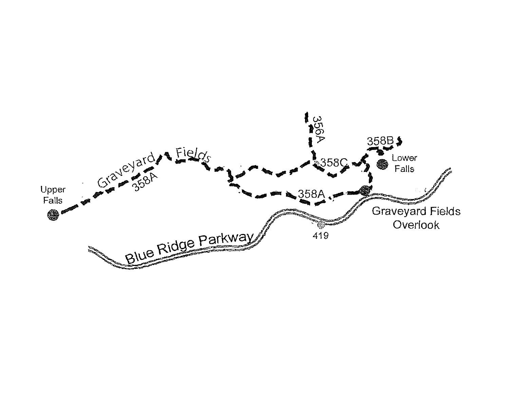